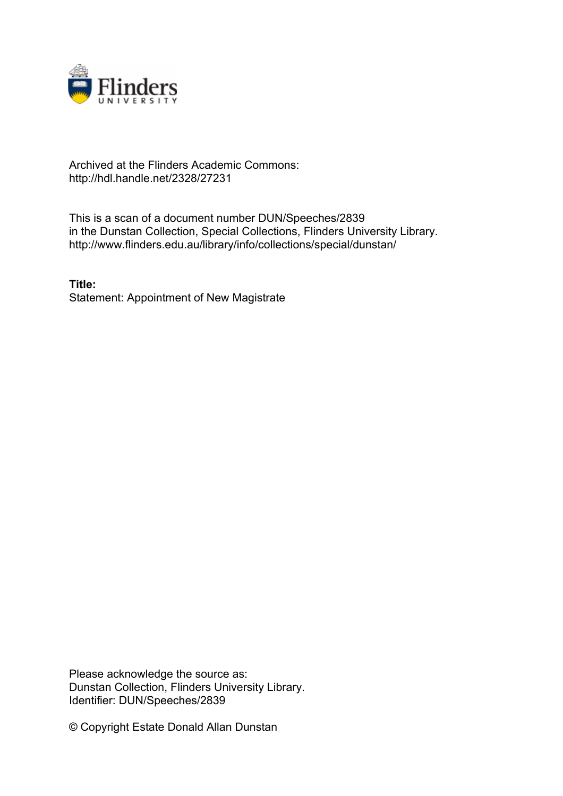

## Archived at the Flinders Academic Commons: http://hdl.handle.net/2328/27231

This is a scan of a document number DUN/Speeches/2839 in the Dunstan Collection, Special Collections, Flinders University Library. http://www.flinders.edu.au/library/info/collections/special/dunstan/

**Title:** Statement: Appointment of New Magistrate

Please acknowledge the source as: Dunstan Collection, Flinders University Library. Identifier: DUN/Speeches/2839

© Copyright Estate Donald Allan Dunstan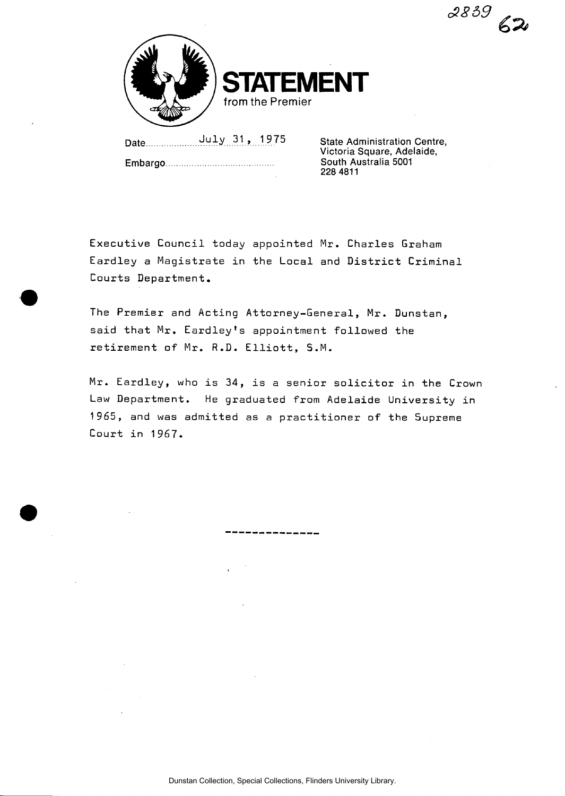**RENT from the Premier** 

Date July 31, 1975

Embargo

State Administration Centre, Victoria Square, Adelaide, South Australia 5001 228 4811

*£859* 

Executive Council today appointed Mr. Charles Graham Eardley a Magistrate in the Local and District Criminal Courts Department.

The Premier and Acting Attorney-General, Mr. Dunstan, said that Mr. Eardley's appointment followed the retirement of Mr. R.D. Elliott, S.M.

Mr. Eardley, who is 34, is a senior solicitor in the Crown Law Department. He graduated from Adelaide University in 1965, and was admitted as a practitioner of the Supreme Court in 1967.

-------------